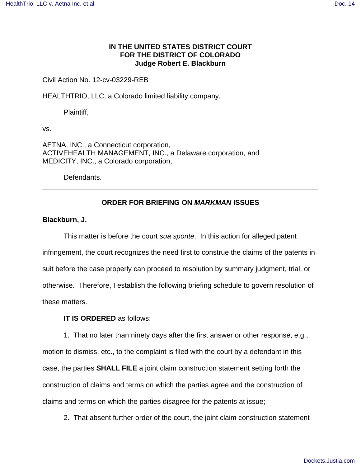## **IN THE UNITED STATES DISTRICT COURT FOR THE DISTRICT OF COLORADO Judge Robert E. Blackburn**

## Civil Action No. 12-cv-03229-REB

HEALTHTRIO, LLC, a Colorado limited liability company,

Plaintiff,

vs.

AETNA, INC., a Connecticut corporation, ACTIVEHEALTH MANAGEMENT, INC., a Delaware corporation, and MEDICITY, INC., a Colorado corporation,

Defendants.

# **ORDER FOR BRIEFING ON MARKMAN ISSUES**

### **Blackburn, J.**

This matter is before the court sua sponte. In this action for alleged patent infringement, the court recognizes the need first to construe the claims of the patents in suit before the case properly can proceed to resolution by summary judgment, trial, or otherwise. Therefore, I establish the following briefing schedule to govern resolution of these matters.

### **IT IS ORDERED** as follows:

1. That no later than ninety days after the first answer or other response, e.g., motion to dismiss, etc., to the complaint is filed with the court by a defendant in this case, the parties **SHALL FILE** a joint claim construction statement setting forth the construction of claims and terms on which the parties agree and the construction of claims and terms on which the parties disagree for the patents at issue;

2. That absent further order of the court, the joint claim construction statement